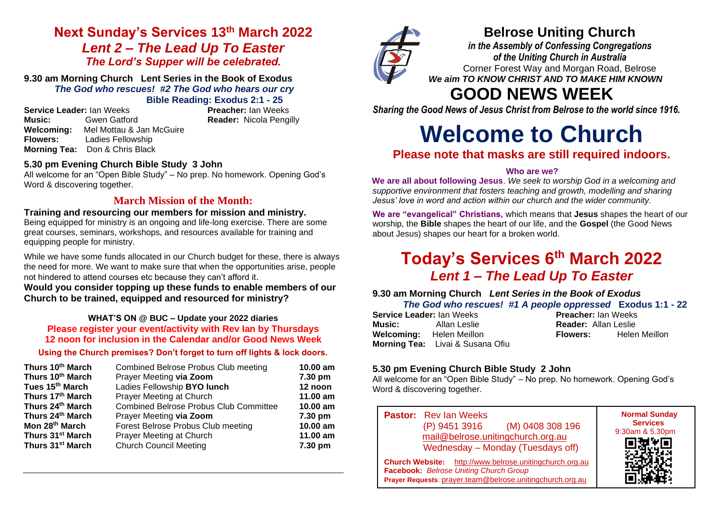# **Next Sunday's Services 13th March 2022** *Lent 2 – The Lead Up To Easter The Lord's Supper will be celebrated.*

**9.30 am Morning Church Lent Series in the Book of Exodus** *The God who rescues!**#2 The God who hears our cry* **Bible Reading: Exodus 2:1 - 25**

**Service Leader:** Ian Weeks **Preacher:** Ian Weeks **Music:** Gwen Gatford **Reader:** Nicola Pengilly **Welcoming:** Mel Mottau & Jan McGuire **Flowers:** Ladies Fellowship **Morning Tea:** Don & Chris Black

# **5.30 pm Evening Church Bible Study 3 John**

All welcome for an "Open Bible Study" – No prep. No homework. Opening God's Word & discovering together.

# **March Mission of the Month:**

# **Training and resourcing our members for mission and ministry.**

Being equipped for ministry is an ongoing and life-long exercise. There are some great courses, seminars, workshops, and resources available for training and equipping people for ministry.

While we have some funds allocated in our Church budget for these, there is always the need for more. We want to make sure that when the opportunities arise, people not hindered to attend courses etc because they can't afford it.

**Would you consider topping up these funds to enable members of our Church to be trained, equipped and resourced for ministry?**

## **WHAT'S ON @ BUC – Update your 2022 diaries Please register your event/activity with Rev Ian by Thursdays 12 noon for inclusion in the Calendar and/or Good News Week**

## **Using the Church premises? Don't forget to turn off lights & lock doors.**

| Thurs 10th March             | <b>Combined Belrose Probus Club meeting</b>   | 10.00 am |
|------------------------------|-----------------------------------------------|----------|
| Thurs 10th March             | Prayer Meeting via Zoom                       | 7.30 pm  |
| Tues 15 <sup>th</sup> March  | Ladies Fellowship BYO lunch                   | 12 noon  |
| Thurs 17th March             | Prayer Meeting at Church                      | 11.00 am |
| Thurs 24th March             | <b>Combined Belrose Probus Club Committee</b> | 10.00 am |
| Thurs 24 <sup>th</sup> March | Prayer Meeting via Zoom                       | 7.30 pm  |
| Mon 28 <sup>th</sup> March   | Forest Belrose Probus Club meeting            | 10.00 am |
| Thurs 31 <sup>st</sup> March | Prayer Meeting at Church                      | 11.00 am |
| Thurs 31 <sup>st</sup> March | <b>Church Council Meeting</b>                 | 7.30 pm  |



# **Belrose Uniting Church**

*in the Assembly of Confessing Congregations of the Uniting Church in Australia* Corner Forest Way and Morgan Road, Belrose *We aim TO KNOW CHRIST AND TO MAKE HIM KNOWN*

# **GOOD NEWS WEEK**

*Sharing the Good News of Jesus Christ from Belrose to the world since 1916.*

# **Welcome to Church**

# **Please note that masks are still required indoors.**

## **Who are we?**

**We are all about following Jesus**. *We seek to worship God in a welcoming and supportive environment that fosters teaching and growth, modelling and sharing Jesus' love in word and action within our church and the wider community.*

**We are "evangelical" Christians,** which means that **Jesus** shapes the heart of our worship, the **Bible** shapes the heart of our life, and the **Gospel** (the Good News about Jesus) shapes our heart for a broken world.

# **Today's Services 6 th March 2022**  *Lent 1 – The Lead Up To Easter*

#### **9.30 am Morning Church** *Lent Series in the Book of Exodus The God who rescues!**#1 A people oppressed* **Exodus 1:1 - 22**

|                           |                                         | $1.113$ and $1.114$ is a constant in the property spectrum of $1.1$ and $1.1$ . |                             |  |  |
|---------------------------|-----------------------------------------|---------------------------------------------------------------------------------|-----------------------------|--|--|
| Service Leader: Ian Weeks |                                         |                                                                                 | <b>Preacher:</b> Ian Weeks  |  |  |
| Music:                    | Allan Leslie                            |                                                                                 | <b>Reader: Allan Leslie</b> |  |  |
|                           | <b>Welcoming:</b> Helen Meillon         | Flowers:                                                                        | Helen Meillon               |  |  |
|                           | <b>Morning Tea:</b> Livai & Susana Ofiu |                                                                                 |                             |  |  |

## **5.30 pm Evening Church Bible Study 2 John**

All welcome for an "Open Bible Study" – No prep. No homework. Opening God's Word & discovering together.

**Pastor:** Rev Ian Weeks (P) 9451 3916 (M) 0408 308 196 [mail@belrose.unitingchurch.org.au](mailto:mail@belrose.unitingchurch.org.au) Wednesday – Monday (Tuesdays off) **Church Website:** [http://www.belrose.unitingchurch.org.au](http://www.belrose.unitingchurch.org.au/) **Facebook:** *Belrose Uniting Church Group* **Prayer Requests**: [prayer.team@belrose.unitingchurch.org.au](mailto:prayer.team@belrose.unitingchurch.org.au) **Normal Sunday**